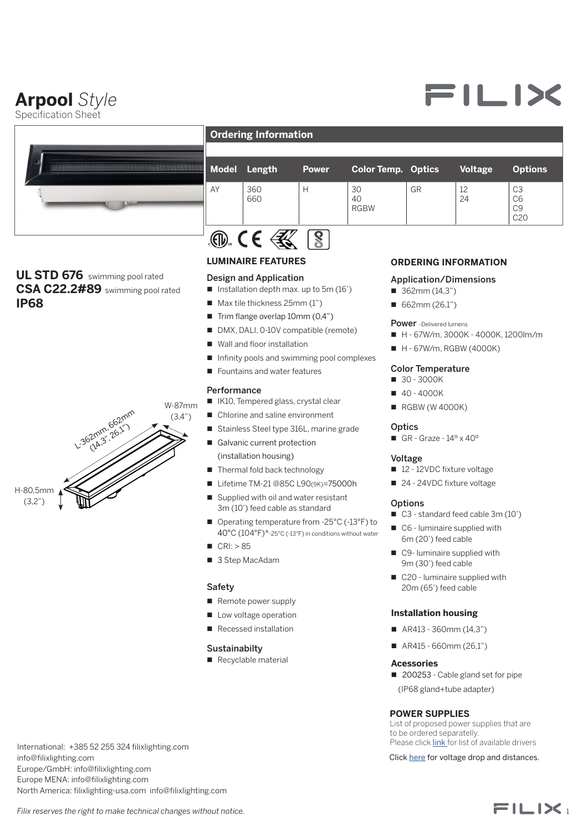## **Arpool** *Style*

Specification Sheet



### **UL STD 676** swimming pool rated **CSA C22.2#89** swimming pool rated **IP68** 3



**Ordering Information** 

| <b>Model</b> | Length     | <b>Power</b> | <b>Color Temp. Optics</b> |    | <b>Voltage</b> | <b>Options</b>                                            |
|--------------|------------|--------------|---------------------------|----|----------------|-----------------------------------------------------------|
| AY           | 360<br>660 | Н            | 30<br>40<br><b>RGBW</b>   | GR | 12<br>24       | C <sub>3</sub><br>C6<br>C <sub>9</sub><br>C <sub>20</sub> |
|              |            |              |                           |    |                |                                                           |

#### **LUMINAIRE FEATURES**

#### Design and Application

- Installation depth max. up to 5m (16')
- $\blacksquare$  Max tile thickness 25mm (1")
- $\blacksquare$  Trim flange overlap 10mm (0,4")
- DMX, DALI, 0-10V compatible (remote)
- $\blacksquare$  Wall and floor installation
- $\blacksquare$  Infinity pools and swimming pool complexes
- $\blacksquare$  Fountains and water features

#### **Performance**

- IK10, Tempered glass, crystal clear
- Chlorine and saline environment
- Stainless Steel type 316L, marine grade
- Galvanic current protection
- (installation housing)
- Thermal fold back technology
- Lifetime TM-21 @85C L90(9K)=75000h
- Supplied with oil and water resistant 3m (10') feed cable as standard
- Operating temperature from -25°C (-13°F) to 40°C (104°F)\*-25°C (-13°F) in conditions without water
- $CRI: > 85$
- 3 Step MacAdam

#### Safety DOCUMENT TYPE: INTENDED FOR: DRAWING STATUS:

- Remote power supply
- $\Box$  Low voltage operation SCALE SHEET SIZE SHEET
	- Recessed installation

#### **Sustainabilty**

Recyclable material

#### **ORDERING INFORMATION**

#### Application/Dimensions

- $\blacksquare$  362mm (14,3")
- $\blacksquare$  662mm (26,1")

Power -Delivered lumens

- $H 67$ W/m, 3000K 4000K, 1200lm/m
- $H 67$ W/m, RGBW (4000K)

#### Color Temperature

- 30 3000K
- $40 4000K$
- $\blacksquare$  RGBW (W 4000K)

#### **Optics**

GR - Graze -  $14^\circ \times 40^\circ$ 

#### Voltage

- 12 12VDC fixture voltage
- 24 24VDC fixture voltage

#### **Options**

- C3 standard feed cable 3m (10')
- $\Box$  C6 luminaire supplied with 6m (20') feed cable
- $\Box$  C9- luminaire supplied with 9m (30') feed cable
- $\Box$  C20 luminaire supplied with 20m (65') feed cable

#### **Installation housing**

- $A R413 360$ mm (14,3")
- $\blacksquare$  AR415 660mm (26.1")

#### **Acessories**

■ 200253 - Cable gland set for pipe (IP68 gland+tube adapter)

#### **POWER SUPPLIES**

List of proposed power supplies that are to be ordered separatelly. Please click [link](https://www.filixlighting.com/userfiles/files/List%20of%20power%20supply.pdf) for list of available drivers

Click [here](https://direct.lc.chat/11747922/) for voltage drop and distances.

Europe/GmbH: info@filixlighting.com Europe MENA: info@filixlighting.com North America: filixlighting-usa.com info@filixlighting.com

International: +385 52 255 324 filixlighting.com

info@filixlighting.com



# FILIX